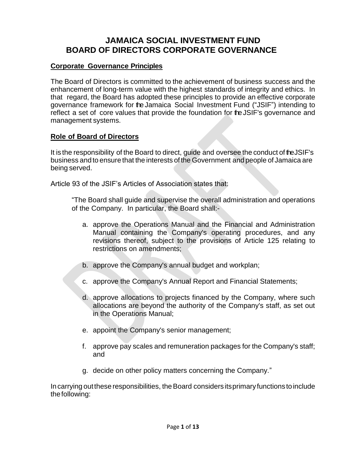# **JAMAICA SOCIAL INVESTMENT FUND BOARD OF DIRECTORS CORPORATE GOVERNANCE**

## **Corporate Governance Principles**

The Board of Directors is committed to the achievement of business success and the enhancement of long-term value with the highest standards of integrity and ethics. In that regard, the Board has adopted these principles to provide an effective corporate governance framework for the Jamaica Social Investment Fund ("JSIF") intending to reflect a set of core values that provide the foundation for the JSIF's governance and management systems.

## **Role of Board of Directors**

It is the responsibility of the Board to direct, quide and oversee the conduct of the JSIF's business and to ensure that the interests of the Government and people of Jamaica are being served.

Article 93 of the JSIF's Articles of Association states that:

"The Board shall guide and supervise the overall administration and operations of the Company. In particular, the Board shall:-

- a. approve the Operations Manual and the Financial and Administration Manual containing the Company's operating procedures, and any revisions thereof, subject to the provisions of Article 125 relating to restrictions on amendments;
- b. approve the Company's annual budget and workplan;
- c. approve the Company's Annual Report and Financial Statements;
- d. approve allocations to projects financed by the Company, where such allocations are beyond the authority of the Company's staff, as set out in the Operations Manual;
- e. appoint the Company's senior management;
- f. approve pay scales and remuneration packages for the Company's staff; and
- g. decide on other policy matters concerning the Company."

Incarrying outthese responsibilities, theBoard considers itsprimary functions toinclude thefollowing: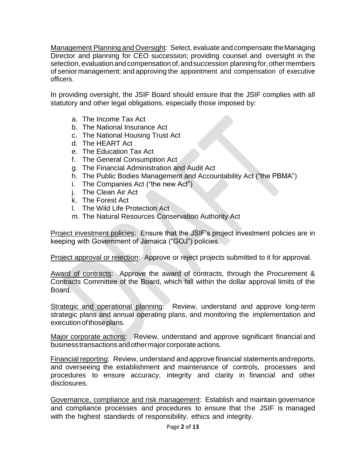Management Planning and Oversight: Select, evaluate and compensate theManaging Director and planning for CEO succession; providing counsel and oversight in the selection, evaluation and compensation of, and succession planning for, other members of senior management; and approving the appointment and compensation of executive officers.

In providing oversight, the JSIF Board should ensure that the JSIF complies with all statutory and other legal obligations, especially those imposed by:

- a. The Income Tax Act
- b. The National Insurance Act
- c. The National Housing Trust Act
- d. The HEART Act
- e. The Education Tax Act
- f. The General Consumption Act
- g. The Financial Administration and Audit Act
- h. The Public Bodies Management and Accountability Act ("the PBMA")
- i. The Companies Act ("the new Act")
- j. The Clean Air Act
- k. The Forest Act
- l. The Wild Life Protection Act
- m. The Natural Resources Conservation Authority Act

Project investment policies: Ensure that the JSIF's project investment policies are in keeping with Government of Jamaica ("GOJ") policies.

Project approval or rejection: Approve or reject projects submitted to it for approval.

Award of contracts: Approve the award of contracts, through the Procurement & Contracts Committee of the Board, which fall within the dollar approval limits of the Board.

Strategic and operational planning: Review, understand and approve long-term strategic plans and annual operating plans, and monitoring the implementation and execution of those plans.

Major corporate actions: Review, understand and approve significant financial and business transactions and other major corporate actions.

Financial reporting: Review, understand and approve financial statementsandreports, and overseeing the establishment and maintenance of controls, processes and procedures to ensure accuracy, integrity and clarity in financial and other disclosures.

Governance, compliance and risk management: Establish and maintain governance and compliance processes and procedures to ensure that the JSIF is managed with the highest standards of responsibility, ethics and integrity.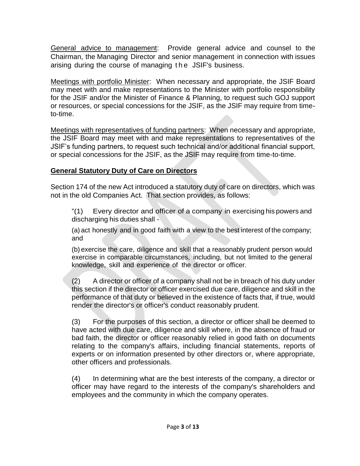General advice to management: Provide general advice and counsel to the Chairman, the Managing Director and senior management in connection with issues arising during the course of managing the JSIF's business.

Meetings with portfolio Minister: When necessary and appropriate, the JSIF Board may meet with and make representations to the Minister with portfolio responsibility for the JSIF and/or the Minister of Finance & Planning, to request such GOJ support or resources, or special concessions for the JSIF, as the JSIF may require from timeto-time.

Meetings with representatives of funding partners: When necessary and appropriate, the JSIF Board may meet with and make representations to representatives of the JSIF's funding partners, to request such technical and/or additional financial support, or special concessions for the JSIF, as the JSIF may require from time-to-time.

### **General Statutory Duty of Care on Directors**

Section 174 of the new Act introduced a statutory duty of care on directors, which was not in the old Companies Act. That section provides, as follows:

"(1) Every director and officer of a company in exercising his powers and discharging his duties shall -

(a) act honestly and in good faith with a view to the best interest of the company; and

(b) exercise the care, diligence and skill that a reasonably prudent person would exercise in comparable circumstances, including, but not limited to the general knowledge, skill and experience of the director or officer.

(2) A director or officer of a company shall not be in breach of his duty under this section if the director or officer exercised due care, diligence and skill in the performance of that duty or believed in the existence of facts that, if true, would render the director's or officer's conduct reasonably prudent.

(3) For the purposes of this section, a director or officer shall be deemed to have acted with due care, diligence and skill where, in the absence of fraud or bad faith, the director or officer reasonably relied in good faith on documents relating to the company's affairs, including financial statements, reports of experts or on information presented by other directors or, where appropriate, other officers and professionals.

(4) In determining what are the best interests of the company, a director or officer may have regard to the interests of the company's shareholders and employees and the community in which the company operates.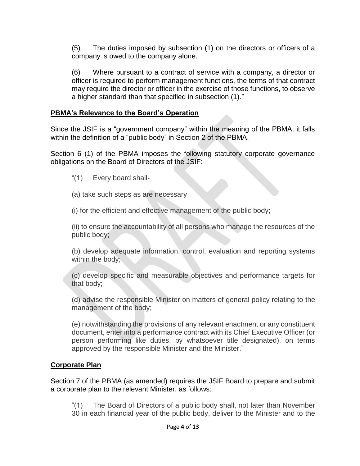(5) The duties imposed by subsection (1) on the directors or officers of a company is owed to the company alone.

(6) Where pursuant to a contract of service with a company, a director or officer is required to perform management functions, the terms of that contract may require the director or officer in the exercise of those functions, to observe a higher standard than that specified in subsection (1)."

### **PBMA's Relevance to the Board's Operation**

Since the JSIF is a "government company" within the meaning of the PBMA, it falls within the definition of a "public body" in Section 2 of the PBMA.

Section 6 (1) of the PBMA imposes the following statutory corporate governance obligations on the Board of Directors of the JSIF:

- "(1) Every board shall-
- (a) take such steps as are necessary
- (i) for the efficient and effective management of the public body;

(ii) to ensure the accountability of all persons who manage the resources of the public body;

(b) develop adequate information, control, evaluation and reporting systems within the body;

(c) develop specific and measurable objectives and performance targets for that body;

(d) advise the responsible Minister on matters of general policy relating to the management of the body;

(e) notwithstanding the provisions of any relevant enactment or any constituent document, enter into a performance contract with its Chief Executive Officer (or person performing like duties, by whatsoever title designated), on terms approved by the responsible Minister and the Minister."

## **Corporate Plan**

Section 7 of the PBMA (as amended) requires the JSIF Board to prepare and submit a corporate plan to the relevant Minister, as follows:

"(1) The Board of Directors of a public body shall, not later than November 30 in each financial year of the public body, deliver to the Minister and to the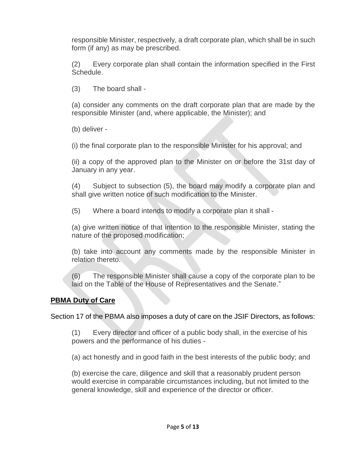responsible Minister, respectively, a draft corporate plan, which shall be in such form (if any) as may be prescribed.

(2) Every corporate plan shall contain the information specified in the First Schedule.

(3) The board shall -

(a) consider any comments on the draft corporate plan that are made by the responsible Minister (and, where applicable, the Minister); and

(b) deliver -

(i) the final corporate plan to the responsible Minister for his approval; and

(ii) a copy of the approved plan to the Minister on or before the 31st day of January in any year.

(4) Subject to subsection (5), the board may modify a corporate plan and shall give written notice of such modification to the Minister.

(5) Where a board intends to modify a corporate plan it shall -

(a) give written notice of that intention to the responsible Minister, stating the nature of the proposed modification;

(b) take into account any comments made by the responsible Minister in relation thereto.

(6) The responsible Minister shall cause a copy of the corporate plan to be laid on the Table of the House of Representatives and the Senate."

## **PBMA Duty of Care**

Section 17 of the PBMA also imposes a duty of care on the JSIF Directors, as follows:

(1) Every director and officer of a public body shall, in the exercise of his powers and the performance of his duties -

(a) act honestly and in good faith in the best interests of the public body; and

(b) exercise the care, diligence and skill that a reasonably prudent person would exercise in comparable circumstances including, but not limited to the general knowledge, skill and experience of the director or officer.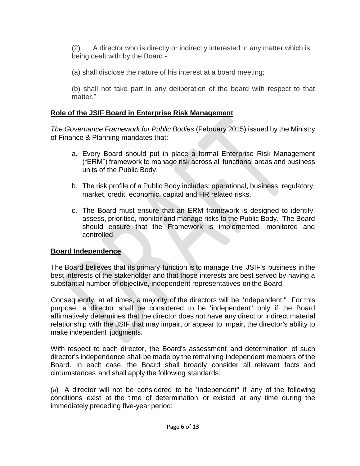(2) A director who is directly or indirectly interested in any matter which is being dealt with by the Board -

(a) shall disclose the nature of his interest at a board meeting;

(b) shall not take part in any deliberation of the board with respect to that matter."

## **Role of the JSIF Board in Enterprise Risk Management**

*The Governance Framework for Public Bodies* (February 2015) issued by the Ministry of Finance & Planning mandates that:

- a. Every Board should put in place a formal Enterprise Risk Management ("ERM") framework to manage risk across all functional areas and business units of the Public Body.
- b. The risk profile of a Public Body includes: operational, business, regulatory, market, credit, economic, capital and HR related risks.
- c. The Board must ensure that an ERM framework is designed to identify, assess, prioritise, monitor and manage risks to the Public Body. The Board should ensure that the Framework is implemented, monitored and controlled.

## **Board Independence**

The Board believes that its primary function is to manage the JSIF's business in the best interests of the stakeholder and that those interests are best served by having a substantial number of objective, independent representatives on the Board.

Consequently, at all times, a majority of the directors will be "independent." For this purpose, a director shall be considered to be "independent" only if the Board affirmatively determines that the director does not have any direct or indirect material relationship with the JSIF that may impair, or appear to impair, the director's ability to make independent judgments.

With respect to each director, the Board's assessment and determination of such director's independence shall be made by the remaining independent members of the Board. In each case, the Board shall broadly consider all relevant facts and circumstances and shall apply the following standards:

(a) A director will not be considered to be "independent" if any of the following conditions exist at the time of determination or existed at any time during the immediately preceding five-year period: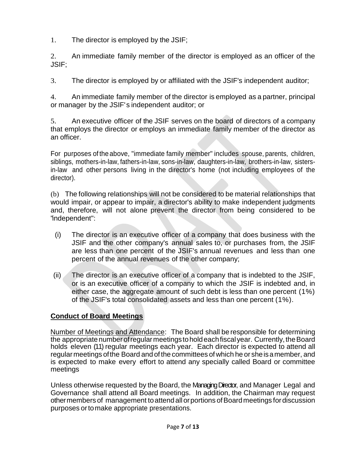1. The director is employed by the JSIF;

2. An immediate family member of the director is employed as an officer of the JSIF;

3. The director is employed by or affiliated with the JSIF's independent auditor;

4. An immediate family member of the director is employed as a partner, principal or manager by the JSIF's independent auditor; or

5. An executive officer of the JSIF serves on the board of directors of a company that employs the director or employs an immediate family member of the director as an officer.

For purposes of the above, "immediate family member" includes spouse, parents, children, siblings, mothers-in-law, fathers-in-law, sons-in-law, daughters-in-law, brothers-in-law, sistersin-law and other persons living in the director's home (not including employees of the director).

(b) The following relationships will not be considered to be material relationships that would impair, or appear to impair, a director's ability to make independent judgments and, therefore, will not alone prevent the director from being considered to be "independent":

- (i) The director is an executive officer of a company that does business with the JSIF and the other company's annual sales to, or purchases from, the JSIF are less than one percent of the JSIF's annual revenues and less than one percent of the annual revenues of the other company;
- (ii) The director is an executive officer of a company that is indebted to the JSIF, or is an executive officer of a company to which the JSIF is indebted and, in either case, the aggregate amount of such debt is less than one percent (1%) of the JSIF's total consolidated assets and less than one percent (1%).

# **Conduct of Board Meetings**

Number of Meetings and Attendance: The Board shall be responsible for determining the appropriate number of regular meetings to hold each fiscal year. Currently, the Board holds eleven (11) regular meetings each year. Each director is expected to attend all regularmeetings ofthe Board and of the committees of which he or sheisamember, and is expected to make every effort to attend any specially called Board or committee meetings

Unless otherwise requested by the Board, the Managing Director, and Manager Legal and Governance shall attend all Board meetings. In addition, the Chairman may request othermembers of management toattendallorportions ofBoardmeetings fordiscussion purposes ortomake appropriate presentations.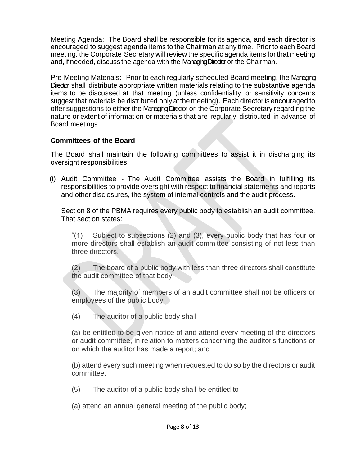Meeting Agenda: The Board shall be responsible for its agenda, and each director is encouraged to suggest agenda items to the Chairman at any time. Prior to each Board meeting, the Corporate Secretary will review the specific agenda items forthat meeting and, if needed, discuss the agenda with the Managing Director or the Chairman.

Pre-Meeting Materials: Prior to each regularly scheduled Board meeting, the Managing Director shall distribute appropriate written materials relating to the substantive agenda items to be discussed at that meeting (unless confidentiality or sensitivity concerns suggest that materials be distributed only at the meeting). Each director is encouraged to offer suggestions to either the Managing Director or the Corporate Secretary regarding the nature or extent of information or materials that are regularly distributed in advance of Board meetings.

#### **Committees of the Board**

The Board shall maintain the following committees to assist it in discharging its oversight responsibilities:

(i) Audit Committee - The Audit Committee assists the Board in fulfilling its responsibilities to provide oversight with respect to financial statements and reports and other disclosures, the system of internal controls and the audit process.

Section 8 of the PBMA requires every public body to establish an audit committee. That section states:

"(1) Subject to subsections (2) and (3), every public body that has four or more directors shall establish an audit committee consisting of not less than three directors.

(2) The board of a public body with less than three directors shall constitute the audit committee of that body.

(3) The majority of members of an audit committee shall not be officers or employees of the public body.

(4) The auditor of a public body shall -

(a) be entitled to be given notice of and attend every meeting of the directors or audit committee, in relation to matters concerning the auditor's functions or on which the auditor has made a report; and

(b) attend every such meeting when requested to do so by the directors or audit committee.

(5) The auditor of a public body shall be entitled to -

(a) attend an annual general meeting of the public body;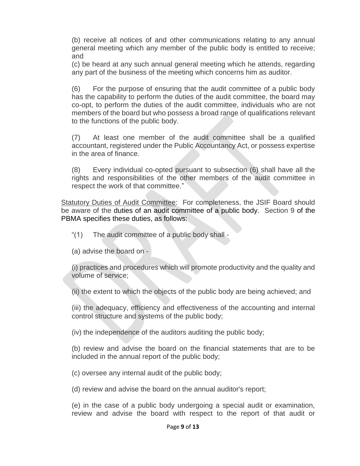(b) receive all notices of and other communications relating to any annual general meeting which any member of the public body is entitled to receive; and

(c) be heard at any such annual general meeting which he attends, regarding any part of the business of the meeting which concerns him as auditor.

(6) For the purpose of ensuring that the audit committee of a public body has the capability to perform the duties of the audit committee, the board may co-opt, to perform the duties of the audit committee, individuals who are not members of the board but who possess a broad range of qualifications relevant to the functions of the public body.

(7) At least one member of the audit committee shall be a qualified accountant, registered under the Public Accountancy Act, or possess expertise in the area of finance.

(8) Every individual co-opted pursuant to subsection (6) shall have all the rights and responsibilities of the other members of the audit committee in respect the work of that committee."

Statutory Duties of Audit Committee: For completeness, the JSIF Board should be aware of the duties of an audit committee of a public body. Section 9 of the PBMA specifies these duties, as follows:

- "(1) The audit committee of a public body shall -
- (a) advise the board on -

(i) practices and procedures which will promote productivity and the quality and volume of service;

(ii) the extent to which the objects of the public body are being achieved; and

(iii) the adequacy, efficiency and effectiveness of the accounting and internal control structure and systems of the public body;

(iv) the independence of the auditors auditing the public body;

(b) review and advise the board on the financial statements that are to be included in the annual report of the public body;

(c) oversee any internal audit of the public body;

(d) review and advise the board on the annual auditor's report;

(e) in the case of a public body undergoing a special audit or examination, review and advise the board with respect to the report of that audit or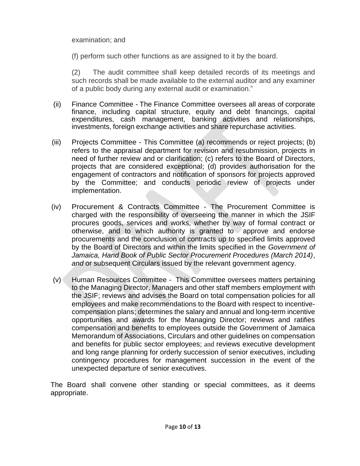#### examination; and

(f) perform such other functions as are assigned to it by the board.

(2) The audit committee shall keep detailed records of its meetings and such records shall be made available to the external auditor and any examiner of a public body during any external audit or examination."

- (ii) Finance Committee The Finance Committee oversees all areas of corporate finance, including capital structure, equity and debt financings, capital expenditures, cash management, banking activities and relationships, investments, foreign exchange activities and share repurchase activities.
- (iii) Projects Committee This Committee (a) recommends or reject projects; (b) refers to the appraisal department for revision and resubmission, projects in need of further review and or clarification; (c) refers to the Board of Directors, projects that are considered exceptional; (d) provides authorisation for the engagement of contractors and notification of sponsors for projects approved by the Committee; and conducts periodic review of projects under implementation.
- (iv) Procurement & Contracts Committee The Procurement Committee is charged with the responsibility of overseeing the manner in which the JSIF procures goods, services and works, whether by way of formal contract or otherwise, and to which authority is granted to approve and endorse procurements and the conclusion of contracts up to specified limits approved by the Board of Directors and within the limits specified in the *Government of Jamaica, Hand Book of Public Sector Procurement Procedures (March 2014)*, *and* or subsequent Circulars issued by the relevant government agency*.*
- (v) Human Resources Committee This Committee oversees matters pertaining to the Managing Director, Managers and other staff members employment with the JSIF; reviews and advises the Board on total compensation policies for all employees and make recommendations to the Board with respect to incentivecompensation plans; determines the salary and annual and long-term incentive opportunities and awards for the Managing Director; reviews and ratifies compensation and benefits to employees outside the Government of Jamaica Memorandum of Associations, Circulars and other guidelines on compensation and benefits for public sector employees; and reviews executive development and long range planning for orderly succession of senior executives, including contingency procedures for management succession in the event of the unexpected departure of senior executives.

The Board shall convene other standing or special committees, as it deems appropriate.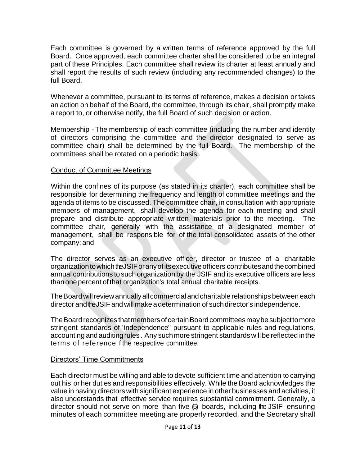Each committee is governed by a written terms of reference approved by the full Board. Once approved, each committee charter shall be considered to be an integral part of these Principles. Each committee shall review its charter at least annually and shall report the results of such review (including any recommended changes) to the full Board.

Whenever a committee, pursuant to its terms of reference, makes a decision or takes an action on behalf of the Board, the committee, through its chair, shall promptly make a report to, or otherwise notify, the full Board of such decision or action.

Membership - The membership of each committee (including the number and identity of directors comprising the committee and the director designated to serve as committee chair) shall be determined by the full Board. The membership of the committees shall be rotated on a periodic basis.

#### Conduct of Committee Meetings

Within the confines of its purpose (as stated in its charter), each committee shall be responsible for determining the frequency and length of committee meetings and the agenda of items to be discussed. The committee chair, in consultation with appropriate members of management, shall develop the agenda for each meeting and shall prepare and distribute appropriate written materials prior to the meeting. The committee chair, generally with the assistance of a designated member of management, shall be responsible for of the total consolidated assets of the other company; and

The director serves as an executive officer, director or trustee of a charitable organization to which the JSIF or any of its executive officers contributes and the combined annual contributions tosuch organization by the JSIF and its executive officers are less thanonepercent of that organization's total annual charitable receipts.

TheBoardwillreviewannuallyallcommercial andcharitable relationships between each director and the JSIF and will make a determination of such director's independence.

The Board recognizes that members of certain Board committees may be subject to more stringent standards of "independence" pursuant to applicable rules and regulations, accounting and auditingrules . Any suchmore stringent standardswill be reflected inthe terms of reference f the respective committee.

#### Directors' Time Commitments

Each director must be willing and able to devote sufficient time and attention to carrying out his or her duties and responsibilities effectively. While the Board acknowledges the value in having directors with significant experience in other businesses and activities, it also understands that effective service requires substantial commitment. Generally, a director should not serve on more than five (5) boards, including the JSIF ensuring minutes of each committee meeting are properly recorded, and the Secretary shall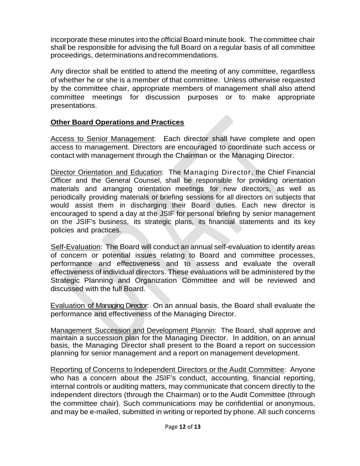incorporate these minutes into the official Board minute book. The committee chair shall be responsible for advising the full Board on a regular basis of all committee proceedings, determinations andrecommendations.

Any director shall be entitled to attend the meeting of any committee, regardless of whether he or she is a member of that committee. Unless otherwise requested by the committee chair, appropriate members of management shall also attend committee meetings for discussion purposes or to make appropriate presentations.

## **Other Board Operations and Practices**

Access to Senior Management: Each director shall have complete and open access to management. Directors are encouraged to coordinate such access or contact with management through the Chairman or the Managing Director.

Director Orientation and Education: The Managing Director, the Chief Financial Officer and the General Counsel, shall be responsible for providing orientation materials and arranging orientation meetings for new directors, as well as periodically providing materials or briefing sessions for all directors on subjects that would assist them in discharging their Board duties. Each new director is encouraged to spend a day at the JSIF for personal briefing by senior management on the JSIF's business, its strategic plans, its financial statements and its key policies and practices.

Self-Evaluation: The Board will conduct an annual self-evaluation to identify areas of concern or potential issues relating to Board and committee processes, performance and effectiveness and to assess and evaluate the overall effectiveness of individual directors. These evaluations will be administered by the Strategic Planning and Organization Committee and will be reviewed and discussed with the full Board.

Evaluation of Managing Director: On an annual basis, the Board shall evaluate the performance and effectiveness of the Managing Director.

Management Succession and Development Plannin: The Board, shall approve and maintain a succession plan for the Managing Director. In addition, on an annual basis, the Managing Director shall present to the Board a report on succession planning for senior management and a report on management development.

Reporting of Concerns to Independent Directors or the Audit Committee: Anyone who has a concern about the JSIF's conduct, accounting, financial reporting, internal controls or auditing matters, may communicate that concern directly to the independent directors (through the Chairman) or to the Audit Committee (through the committee chair). Such communications may be confidential or anonymous, and may be e-mailed, submitted in writing or reported by phone. All such concerns